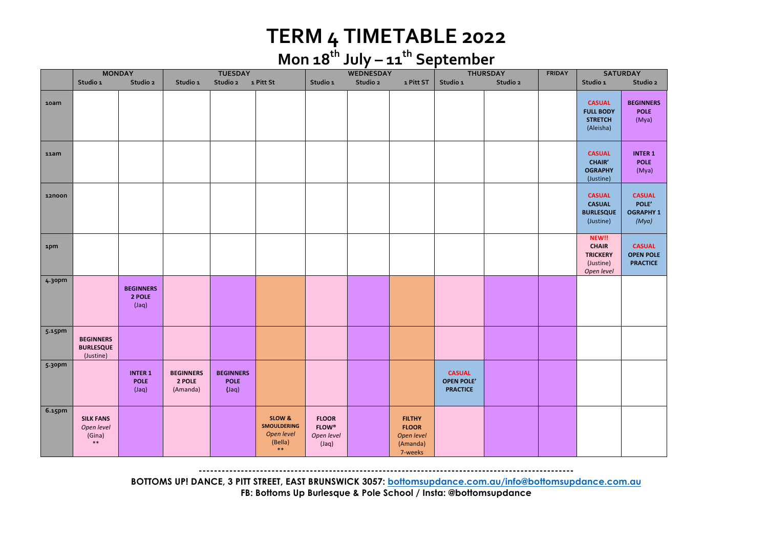# **TERM 4 TIMETABLE 2022**

### **Mon 18th July – 11th September**

|        | <b>MONDAY</b>                                          |                                        |                                        | <b>TUESDAY</b>                           |                                                                     | WEDNESDAY                                                         |          |                                                                    |                                                       | <b>THURSDAY</b> | <b>FRIDAY</b> | <b>SATURDAY</b>                                                     |                                                      |
|--------|--------------------------------------------------------|----------------------------------------|----------------------------------------|------------------------------------------|---------------------------------------------------------------------|-------------------------------------------------------------------|----------|--------------------------------------------------------------------|-------------------------------------------------------|-----------------|---------------|---------------------------------------------------------------------|------------------------------------------------------|
|        | Studio 1                                               | Studio 2                               | Studio 1                               | Studio 2 1 Pitt St                       |                                                                     | Studio 1                                                          | Studio 2 | 1 Pitt ST                                                          | Studio 1                                              | Studio 2        |               | Studio 1                                                            | Studio 2                                             |
| 10am   |                                                        |                                        |                                        |                                          |                                                                     |                                                                   |          |                                                                    |                                                       |                 |               | <b>CASUAL</b><br><b>FULL BODY</b><br><b>STRETCH</b><br>(Aleisha)    | <b>BEGINNERS</b><br><b>POLE</b><br>(Mya)             |
| 11am   |                                                        |                                        |                                        |                                          |                                                                     |                                                                   |          |                                                                    |                                                       |                 |               | <b>CASUAL</b><br><b>CHAIR'</b><br><b>OGRAPHY</b><br>(Justine)       | <b>INTER 1</b><br><b>POLE</b><br>(Mya)               |
| 12noon |                                                        |                                        |                                        |                                          |                                                                     |                                                                   |          |                                                                    |                                                       |                 |               | <b>CASUAL</b><br><b>CASUAL</b><br><b>BURLESQUE</b><br>(Justine)     | <b>CASUAL</b><br>POLE'<br><b>OGRAPHY 1</b><br>(Mya)  |
| 1pm    |                                                        |                                        |                                        |                                          |                                                                     |                                                                   |          |                                                                    |                                                       |                 |               | NEW!!<br><b>CHAIR</b><br><b>TRICKERY</b><br>(Justine)<br>Open level | <b>CASUAL</b><br><b>OPEN POLE</b><br><b>PRACTICE</b> |
| 4.30pm |                                                        | <b>BEGINNERS</b><br>2 POLE<br>(Jaq)    |                                        |                                          |                                                                     |                                                                   |          |                                                                    |                                                       |                 |               |                                                                     |                                                      |
| 5.15pm | <b>BEGINNERS</b><br><b>BURLESQUE</b><br>(Justine)      |                                        |                                        |                                          |                                                                     |                                                                   |          |                                                                    |                                                       |                 |               |                                                                     |                                                      |
| 5.30pm |                                                        | <b>INTER 1</b><br><b>POLE</b><br>(Jaq) | <b>BEGINNERS</b><br>2 POLE<br>(Amanda) | <b>BEGINNERS</b><br><b>POLE</b><br>(Jaq) |                                                                     |                                                                   |          |                                                                    | <b>CASUAL</b><br><b>OPEN POLE'</b><br><b>PRACTICE</b> |                 |               |                                                                     |                                                      |
| 6.15pm | <b>SILK FANS</b><br>Open level<br>(Gina)<br>$\ast\ast$ |                                        |                                        |                                          | SLOW &<br><b>SMOULDERING</b><br>Open level<br>(Bella)<br>$\ast\ast$ | <b>FLOOR</b><br>${\sf FLOW}^{\circledast}$<br>Open level<br>(Jaq) |          | <b>FILTHY</b><br><b>FLOOR</b><br>Open level<br>(Amanda)<br>7-weeks |                                                       |                 |               |                                                                     |                                                      |

**--------------------------------------------------------------------------------------------------**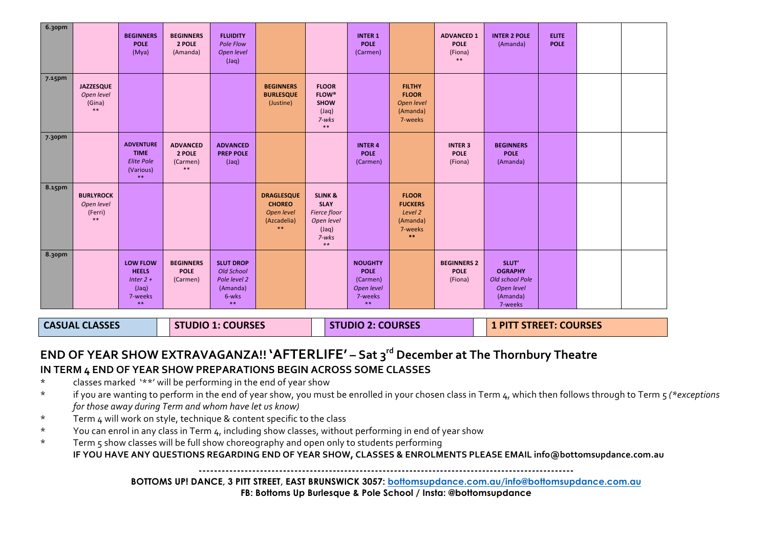| 6.30pm                |                                                 | <b>BEGINNERS</b><br><b>POLE</b><br>(Mya)                                        | <b>BEGINNERS</b><br>2 POLE<br>(Amanda)         | <b>FLUIDITY</b><br>Pole Flow<br>Open level<br>(Jaq)                       |                                                                       |                                                                                                 | <b>INTER 1</b><br><b>POLE</b><br>(Carmen)                                |                                                                          | <b>ADVANCED 1</b><br><b>POLE</b><br>(Fiona)<br>$**$ | <b>INTER 2 POLE</b><br>(Amanda)                                                 | <b>ELITE</b><br><b>POLE</b> |  |  |
|-----------------------|-------------------------------------------------|---------------------------------------------------------------------------------|------------------------------------------------|---------------------------------------------------------------------------|-----------------------------------------------------------------------|-------------------------------------------------------------------------------------------------|--------------------------------------------------------------------------|--------------------------------------------------------------------------|-----------------------------------------------------|---------------------------------------------------------------------------------|-----------------------------|--|--|
| 7.15pm                | <b>JAZZESQUE</b><br>Open level<br>(Gina)<br>**  |                                                                                 |                                                |                                                                           | <b>BEGINNERS</b><br><b>BURLESQUE</b><br>(Justine)                     | <b>FLOOR</b><br><b>FLOW®</b><br><b>SHOW</b><br>(Jaq)<br>7-wks<br>$\ast\ast$                     |                                                                          | <b>FILTHY</b><br><b>FLOOR</b><br>Open level<br>(Amanda)<br>7-weeks       |                                                     |                                                                                 |                             |  |  |
| 7.30pm                |                                                 | <b>ADVENTURE</b><br><b>TIME</b><br><b>Elite Pole</b><br>(Various)<br>$\ast\ast$ | <b>ADVANCED</b><br>2 POLE<br>(Carmen)<br>$***$ | <b>ADVANCED</b><br><b>PREP POLE</b><br>(Jaq)                              |                                                                       |                                                                                                 | <b>INTER 4</b><br><b>POLE</b><br>(Carmen)                                |                                                                          | <b>INTER 3</b><br><b>POLE</b><br>(Fiona)            | <b>BEGINNERS</b><br><b>POLE</b><br>(Amanda)                                     |                             |  |  |
| 8.15pm                | <b>BURLYROCK</b><br>Open level<br>(Ferri)<br>** |                                                                                 |                                                |                                                                           | <b>DRAGLESQUE</b><br><b>CHOREO</b><br>Open level<br>(Azcadelia)<br>** | <b>SLINK &amp;</b><br><b>SLAY</b><br>Fierce floor<br>Open level<br>(Jaq)<br>7-wks<br>$\ast\ast$ |                                                                          | <b>FLOOR</b><br><b>FUCKERS</b><br>Level 2<br>(Amanda)<br>7-weeks<br>$**$ |                                                     |                                                                                 |                             |  |  |
| 8.30pm                |                                                 | <b>LOW FLOW</b><br><b>HEELS</b><br>Inter $2 +$<br>(Jaq)<br>7-weeks<br>$**$      | <b>BEGINNERS</b><br><b>POLE</b><br>(Carmen)    | <b>SLUT DROP</b><br>Old School<br>Pole level 2<br>(Amanda)<br>6-wks<br>** |                                                                       |                                                                                                 | <b>NOUGHTY</b><br><b>POLE</b><br>(Carmen)<br>Open level<br>7-weeks<br>** |                                                                          | <b>BEGINNERS 2</b><br><b>POLE</b><br>(Fiona)        | SLUT'<br><b>OGRAPHY</b><br>Old school Pole<br>Open level<br>(Amanda)<br>7-weeks |                             |  |  |
| <b>CASUAL CLASSES</b> |                                                 |                                                                                 |                                                | <b>STUDIO 1: COURSES</b>                                                  |                                                                       |                                                                                                 | <b>STUDIO 2: COURSES</b>                                                 |                                                                          |                                                     | <b>1 PITT STREET: COURSES</b>                                                   |                             |  |  |

#### **END OF YEAR SHOW EXTRAVAGANZA!! 'AFTERLIFE' – Sat 3rd December at The Thornbury Theatre IN TERM 4 END OF YEAR SHOW PREPARATIONS BEGIN ACROSS SOME CLASSES**

- \* classes marked '\*\*' will be performing in the end of year show
- \* if you are wanting to perform in the end of year show, you must be enrolled in your chosen class in Term 4, which then follows through to Term 5 *(\*exceptions for those away during Term and whom have let us know)*
- \* Term 4 will work on style, technique & content specific to the class
- \* You can enrol in any class in Term 4, including show classes, without performing in end of year show
- \* Term 5 show classes will be full show choreography and open only to students performing **IF YOU HAVE ANY QUESTIONS REGARDING END OF YEAR SHOW, CLASSES & ENROLMENTS PLEASE EMAIL info@bottomsupdance.com.au**

**--------------------------------------------------------------------------------------------------**

**BOTTOMS UP! DANCE, 3 PITT STREET, EAST BRUNSWICK 3057: bottomsupdance.com.au/info@bottomsupdance.com.au**

**FB: Bottoms Up Burlesque & Pole School / Insta: @bottomsupdance**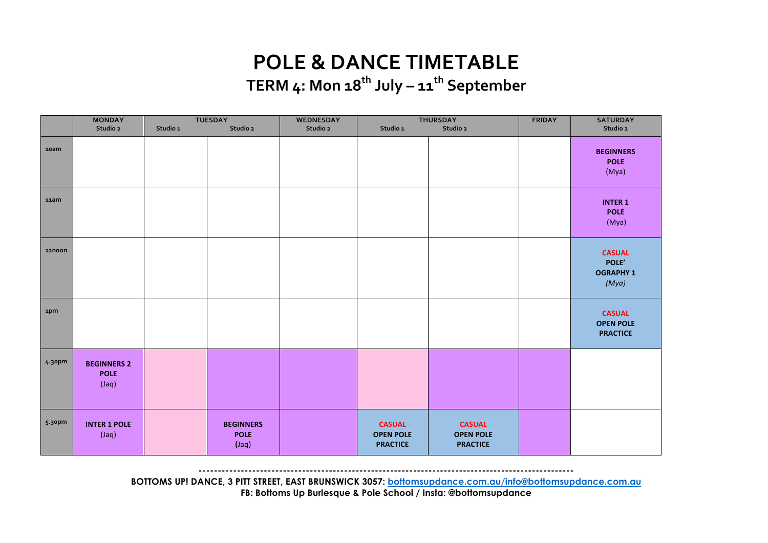## **POLE & DANCE TIMETABLE TERM 4: Mon 18th July – 11th September**

|        | <b>MONDAY</b><br>Studio 2                  | Studio 1 | <b>TUESDAY</b><br>Studio 2                     | WEDNESDAY<br>Studio 2 | Studio 1                                             | <b>THURSDAY</b><br>Studio 2                          | <b>FRIDAY</b> | <b>SATURDAY</b><br>Studio 2                          |
|--------|--------------------------------------------|----------|------------------------------------------------|-----------------------|------------------------------------------------------|------------------------------------------------------|---------------|------------------------------------------------------|
| 10am   |                                            |          |                                                |                       |                                                      |                                                      |               | <b>BEGINNERS</b><br><b>POLE</b><br>(Mya)             |
| 11am   |                                            |          |                                                |                       |                                                      |                                                      |               | <b>INTER 1</b><br><b>POLE</b><br>(Mya)               |
| 12noon |                                            |          |                                                |                       |                                                      |                                                      |               | <b>CASUAL</b><br>POLE'<br><b>OGRAPHY 1</b><br>(Mya)  |
| 1pm    |                                            |          |                                                |                       |                                                      |                                                      |               | <b>CASUAL</b><br><b>OPEN POLE</b><br><b>PRACTICE</b> |
| 4.30pm | <b>BEGINNERS 2</b><br><b>POLE</b><br>(Jaq) |          |                                                |                       |                                                      |                                                      |               |                                                      |
| 5.30pm | <b>INTER 1 POLE</b><br>(Jaq)               |          | <b>BEGINNERS</b><br><b>POLE</b><br>$($ Jaq $)$ |                       | <b>CASUAL</b><br><b>OPEN POLE</b><br><b>PRACTICE</b> | <b>CASUAL</b><br><b>OPEN POLE</b><br><b>PRACTICE</b> |               |                                                      |

**--------------------------------------------------------------------------------------------------**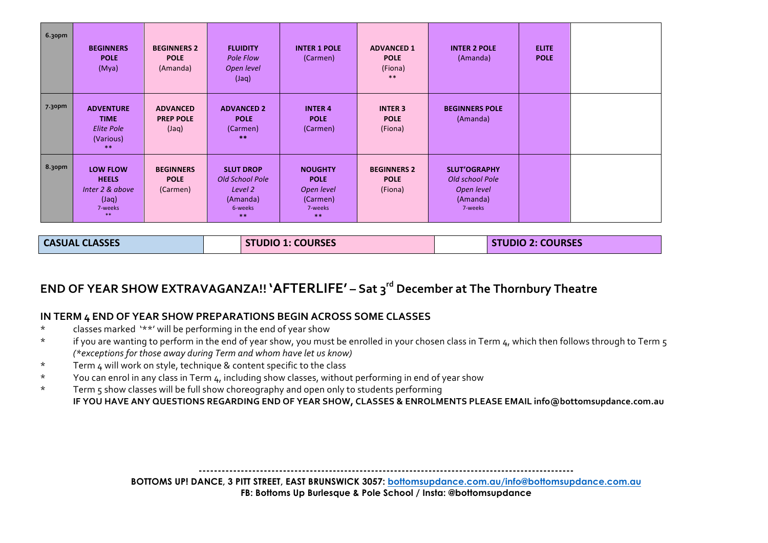| 6.3opm | <b>BEGINNERS</b><br><b>POLE</b><br>(Mya)                                     | <b>BEGINNERS 2</b><br><b>POLE</b><br>(Amanda) | <b>FLUIDITY</b><br><b>Pole Flow</b><br>Open level<br>(Jaq)                  | <b>INTER 1 POLE</b><br>(Carmen)                                            | <b>ADVANCED 1</b><br><b>POLE</b><br>(Fiona)<br>$***$ | <b>INTER 2 POLE</b><br>(Amanda)                                             | <b>ELITE</b><br><b>POLE</b> |  |
|--------|------------------------------------------------------------------------------|-----------------------------------------------|-----------------------------------------------------------------------------|----------------------------------------------------------------------------|------------------------------------------------------|-----------------------------------------------------------------------------|-----------------------------|--|
| 7.30pm | <b>ADVENTURE</b><br><b>TIME</b><br><b>Elite Pole</b><br>(Various)<br>$***$   | <b>ADVANCED</b><br><b>PREP POLE</b><br>(Jaq)  | <b>ADVANCED 2</b><br><b>POLE</b><br>(Carmen)<br>**                          | <b>INTER 4</b><br><b>POLE</b><br>(Carmen)                                  | <b>INTER 3</b><br><b>POLE</b><br>(Fiona)             | <b>BEGINNERS POLE</b><br>(Amanda)                                           |                             |  |
| 8.3opm | <b>LOW FLOW</b><br><b>HEELS</b><br>Inter 2 & above<br>(Jaq)<br>7-weeks<br>** | <b>BEGINNERS</b><br><b>POLE</b><br>(Carmen)   | <b>SLUT DROP</b><br>Old School Pole<br>Level 2<br>(Amanda)<br>6-weeks<br>** | <b>NOUGHTY</b><br><b>POLE</b><br>Open level<br>(Carmen)<br>7-weeks<br>$**$ | <b>BEGINNERS 2</b><br><b>POLE</b><br>(Fiona)         | <b>SLUT'OGRAPHY</b><br>Old school Pole<br>Open level<br>(Amanda)<br>7-weeks |                             |  |

**CASUAL CLASSES STUDIO STUDIO 1:** COURSES **STUDIO STUDIO STUDIO 2:** COURSES

### **END OF YEAR SHOW EXTRAVAGANZA!! 'AFTERLIFE' – Sat 3rd December at The Thornbury Theatre**

#### **IN TERM 4 END OF YEAR SHOW PREPARATIONS BEGIN ACROSS SOME CLASSES**

- \* classes marked '\*\*' will be performing in the end of year show
- \* if you are wanting to perform in the end of year show, you must be enrolled in your chosen class in Term 4, which then follows through to Term 5 *(\*exceptions for those away during Term and whom have let us know)*
- \* Term 4 will work on style, technique & content specific to the class
- \* You can enrol in any class in Term 4, including show classes, without performing in end of year show
- \* Term 5 show classes will be full show choreography and open only to students performing **IF YOU HAVE ANY QUESTIONS REGARDING END OF YEAR SHOW, CLASSES & ENROLMENTS PLEASE EMAIL info@bottomsupdance.com.au**

**--------------------------------------------------------------------------------------------------**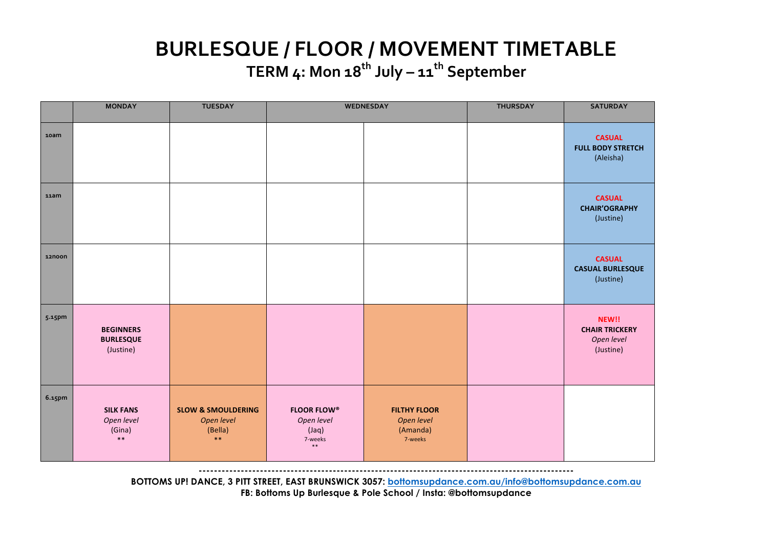## **BURLESQUE / FLOOR / MOVEMENT TIMETABLE TERM 4: Mon 18th July – 11th September**

|        | <b>MONDAY</b>                                          | <b>TUESDAY</b>                                                  |                                                                  | <b>WEDNESDAY</b>                                         | <b>THURSDAY</b> | <b>SATURDAY</b>                                           |
|--------|--------------------------------------------------------|-----------------------------------------------------------------|------------------------------------------------------------------|----------------------------------------------------------|-----------------|-----------------------------------------------------------|
| 10am   |                                                        |                                                                 |                                                                  |                                                          |                 | <b>CASUAL</b><br><b>FULL BODY STRETCH</b><br>(Aleisha)    |
| 11am   |                                                        |                                                                 |                                                                  |                                                          |                 | <b>CASUAL</b><br><b>CHAIR'OGRAPHY</b><br>(Justine)        |
| 12noon |                                                        |                                                                 |                                                                  |                                                          |                 | <b>CASUAL</b><br><b>CASUAL BURLESQUE</b><br>(Justine)     |
| 5.15pm | <b>BEGINNERS</b><br><b>BURLESQUE</b><br>(Justine)      |                                                                 |                                                                  |                                                          |                 | NEW!!<br><b>CHAIR TRICKERY</b><br>Open level<br>(Justine) |
| 6.15pm | <b>SILK FANS</b><br>Open level<br>(Gina)<br>$\ast\ast$ | <b>SLOW &amp; SMOULDERING</b><br>Open level<br>(Bella)<br>$***$ | <b>FLOOR FLOW®</b><br>Open level<br>$($ Jaq $)$<br>7-weeks<br>** | <b>FILTHY FLOOR</b><br>Open level<br>(Amanda)<br>7-weeks |                 |                                                           |

**--------------------------------------------------------------------------------------------------**